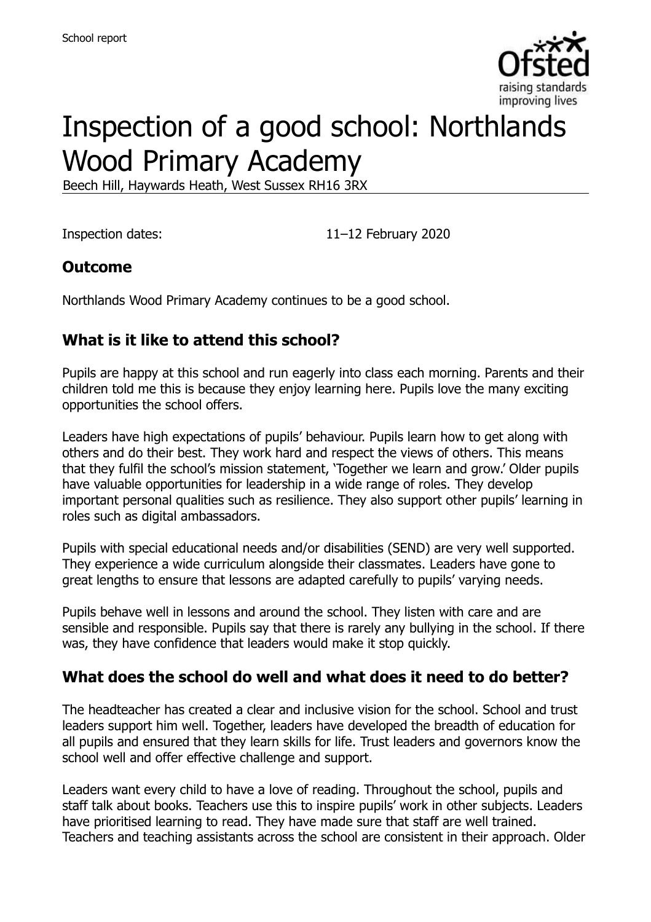

# Inspection of a good school: Northlands Wood Primary Academy

Beech Hill, Haywards Heath, West Sussex RH16 3RX

Inspection dates: 11–12 February 2020

#### **Outcome**

Northlands Wood Primary Academy continues to be a good school.

### **What is it like to attend this school?**

Pupils are happy at this school and run eagerly into class each morning. Parents and their children told me this is because they enjoy learning here. Pupils love the many exciting opportunities the school offers.

Leaders have high expectations of pupils' behaviour. Pupils learn how to get along with others and do their best. They work hard and respect the views of others. This means that they fulfil the school's mission statement, 'Together we learn and grow.' Older pupils have valuable opportunities for leadership in a wide range of roles. They develop important personal qualities such as resilience. They also support other pupils' learning in roles such as digital ambassadors.

Pupils with special educational needs and/or disabilities (SEND) are very well supported. They experience a wide curriculum alongside their classmates. Leaders have gone to great lengths to ensure that lessons are adapted carefully to pupils' varying needs.

Pupils behave well in lessons and around the school. They listen with care and are sensible and responsible. Pupils say that there is rarely any bullying in the school. If there was, they have confidence that leaders would make it stop quickly.

#### **What does the school do well and what does it need to do better?**

The headteacher has created a clear and inclusive vision for the school. School and trust leaders support him well. Together, leaders have developed the breadth of education for all pupils and ensured that they learn skills for life. Trust leaders and governors know the school well and offer effective challenge and support.

Leaders want every child to have a love of reading. Throughout the school, pupils and staff talk about books. Teachers use this to inspire pupils' work in other subjects. Leaders have prioritised learning to read. They have made sure that staff are well trained. Teachers and teaching assistants across the school are consistent in their approach. Older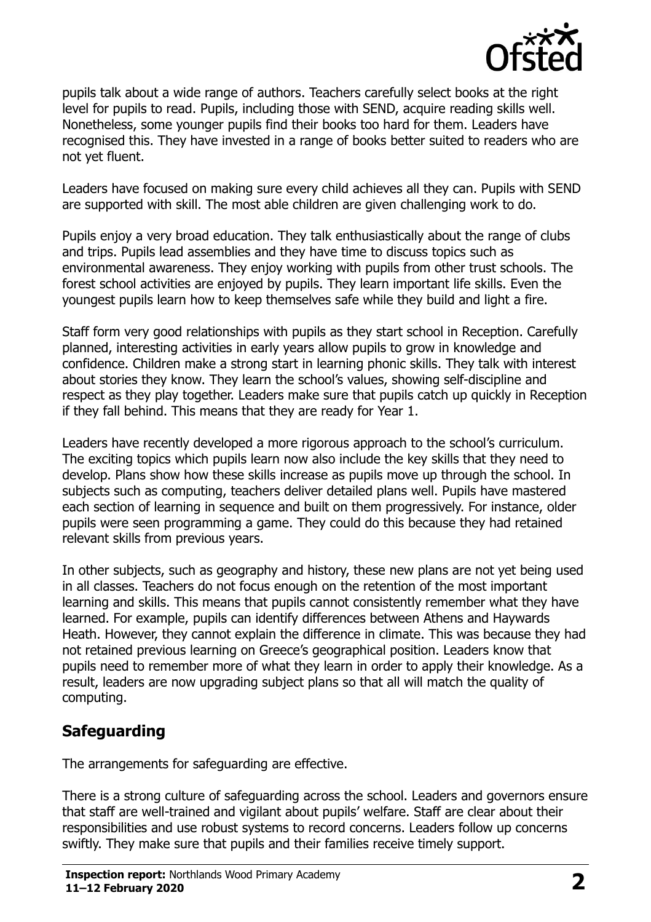

pupils talk about a wide range of authors. Teachers carefully select books at the right level for pupils to read. Pupils, including those with SEND, acquire reading skills well. Nonetheless, some younger pupils find their books too hard for them. Leaders have recognised this. They have invested in a range of books better suited to readers who are not yet fluent.

Leaders have focused on making sure every child achieves all they can. Pupils with SEND are supported with skill. The most able children are given challenging work to do.

Pupils enjoy a very broad education. They talk enthusiastically about the range of clubs and trips. Pupils lead assemblies and they have time to discuss topics such as environmental awareness. They enjoy working with pupils from other trust schools. The forest school activities are enjoyed by pupils. They learn important life skills. Even the youngest pupils learn how to keep themselves safe while they build and light a fire.

Staff form very good relationships with pupils as they start school in Reception. Carefully planned, interesting activities in early years allow pupils to grow in knowledge and confidence. Children make a strong start in learning phonic skills. They talk with interest about stories they know. They learn the school's values, showing self-discipline and respect as they play together. Leaders make sure that pupils catch up quickly in Reception if they fall behind. This means that they are ready for Year 1.

Leaders have recently developed a more rigorous approach to the school's curriculum. The exciting topics which pupils learn now also include the key skills that they need to develop. Plans show how these skills increase as pupils move up through the school. In subjects such as computing, teachers deliver detailed plans well. Pupils have mastered each section of learning in sequence and built on them progressively. For instance, older pupils were seen programming a game. They could do this because they had retained relevant skills from previous years.

In other subjects, such as geography and history, these new plans are not yet being used in all classes. Teachers do not focus enough on the retention of the most important learning and skills. This means that pupils cannot consistently remember what they have learned. For example, pupils can identify differences between Athens and Haywards Heath. However, they cannot explain the difference in climate. This was because they had not retained previous learning on Greece's geographical position. Leaders know that pupils need to remember more of what they learn in order to apply their knowledge. As a result, leaders are now upgrading subject plans so that all will match the quality of computing.

### **Safeguarding**

The arrangements for safeguarding are effective.

There is a strong culture of safeguarding across the school. Leaders and governors ensure that staff are well-trained and vigilant about pupils' welfare. Staff are clear about their responsibilities and use robust systems to record concerns. Leaders follow up concerns swiftly. They make sure that pupils and their families receive timely support.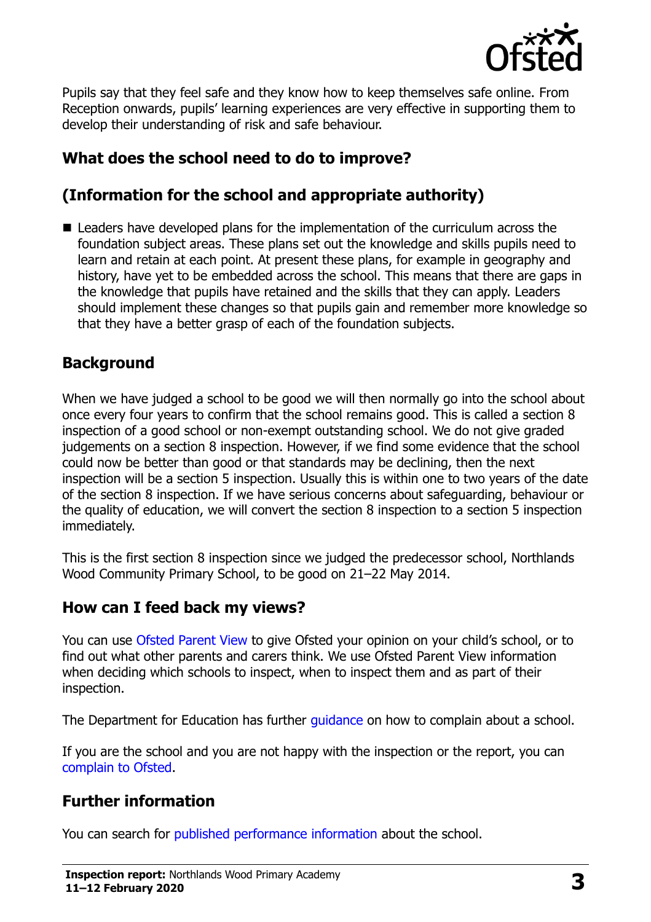

Pupils say that they feel safe and they know how to keep themselves safe online. From Reception onwards, pupils' learning experiences are very effective in supporting them to develop their understanding of risk and safe behaviour.

## **What does the school need to do to improve?**

# **(Information for the school and appropriate authority)**

■ Leaders have developed plans for the implementation of the curriculum across the foundation subject areas. These plans set out the knowledge and skills pupils need to learn and retain at each point. At present these plans, for example in geography and history, have yet to be embedded across the school. This means that there are gaps in the knowledge that pupils have retained and the skills that they can apply. Leaders should implement these changes so that pupils gain and remember more knowledge so that they have a better grasp of each of the foundation subjects.

#### **Background**

When we have judged a school to be good we will then normally go into the school about once every four years to confirm that the school remains good. This is called a section 8 inspection of a good school or non-exempt outstanding school. We do not give graded judgements on a section 8 inspection. However, if we find some evidence that the school could now be better than good or that standards may be declining, then the next inspection will be a section 5 inspection. Usually this is within one to two years of the date of the section 8 inspection. If we have serious concerns about safeguarding, behaviour or the quality of education, we will convert the section 8 inspection to a section 5 inspection immediately.

This is the first section 8 inspection since we judged the predecessor school, Northlands Wood Community Primary School, to be good on 21–22 May 2014.

### **How can I feed back my views?**

You can use [Ofsted Parent View](https://parentview.ofsted.gov.uk/) to give Ofsted your opinion on your child's school, or to find out what other parents and carers think. We use Ofsted Parent View information when deciding which schools to inspect, when to inspect them and as part of their inspection.

The Department for Education has further [guidance](http://www.gov.uk/complain-about-school) on how to complain about a school.

If you are the school and you are not happy with the inspection or the report, you can [complain to Ofsted.](https://www.gov.uk/complain-ofsted-report)

# **Further information**

You can search for [published performance information](http://www.compare-school-performance.service.gov.uk/) about the school.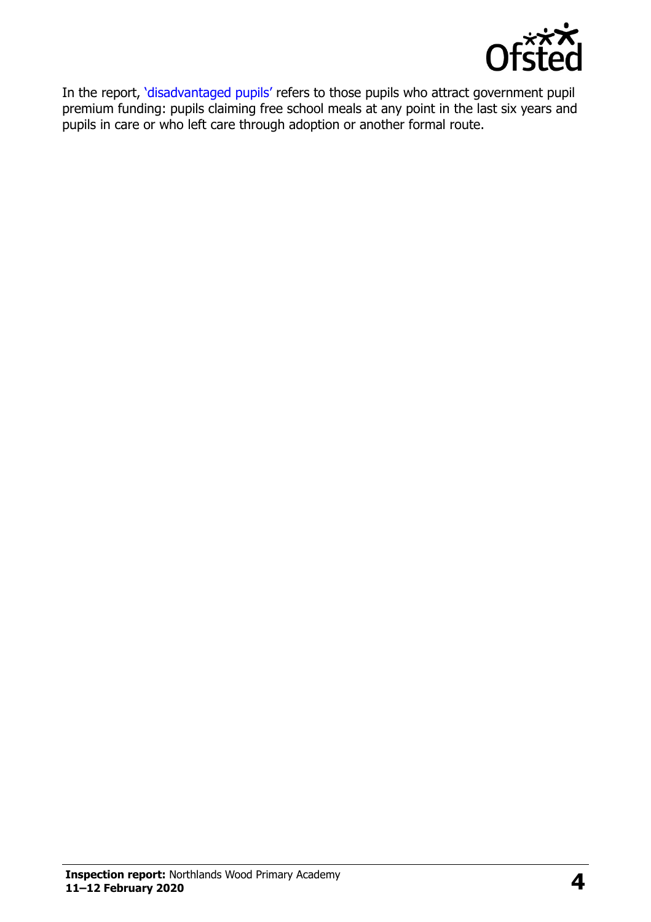

In the report, '[disadvantaged pupils](http://www.gov.uk/guidance/pupil-premium-information-for-schools-and-alternative-provision-settings)' refers to those pupils who attract government pupil premium funding: pupils claiming free school meals at any point in the last six years and pupils in care or who left care through adoption or another formal route.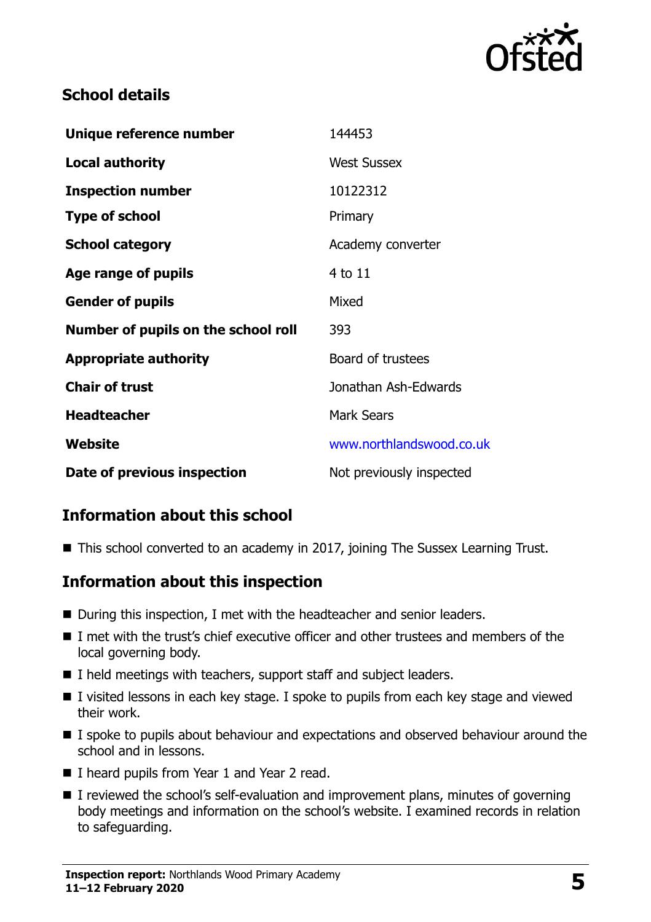

#### **School details**

| Unique reference number             | 144453                   |
|-------------------------------------|--------------------------|
| <b>Local authority</b>              | <b>West Sussex</b>       |
| <b>Inspection number</b>            | 10122312                 |
| <b>Type of school</b>               | Primary                  |
| <b>School category</b>              | Academy converter        |
| Age range of pupils                 | 4 to 11                  |
| <b>Gender of pupils</b>             | Mixed                    |
| Number of pupils on the school roll | 393                      |
| <b>Appropriate authority</b>        | Board of trustees        |
| <b>Chair of trust</b>               | Jonathan Ash-Edwards     |
| <b>Headteacher</b>                  | <b>Mark Sears</b>        |
| Website                             | www.northlandswood.co.uk |
| Date of previous inspection         | Not previously inspected |

### **Information about this school**

■ This school converted to an academy in 2017, joining The Sussex Learning Trust.

#### **Information about this inspection**

- During this inspection, I met with the headteacher and senior leaders.
- $\blacksquare$  I met with the trust's chief executive officer and other trustees and members of the local governing body.
- $\blacksquare$  I held meetings with teachers, support staff and subject leaders.
- I visited lessons in each key stage. I spoke to pupils from each key stage and viewed their work.
- I spoke to pupils about behaviour and expectations and observed behaviour around the school and in lessons.
- I heard pupils from Year 1 and Year 2 read.
- I reviewed the school's self-evaluation and improvement plans, minutes of governing body meetings and information on the school's website. I examined records in relation to safeguarding.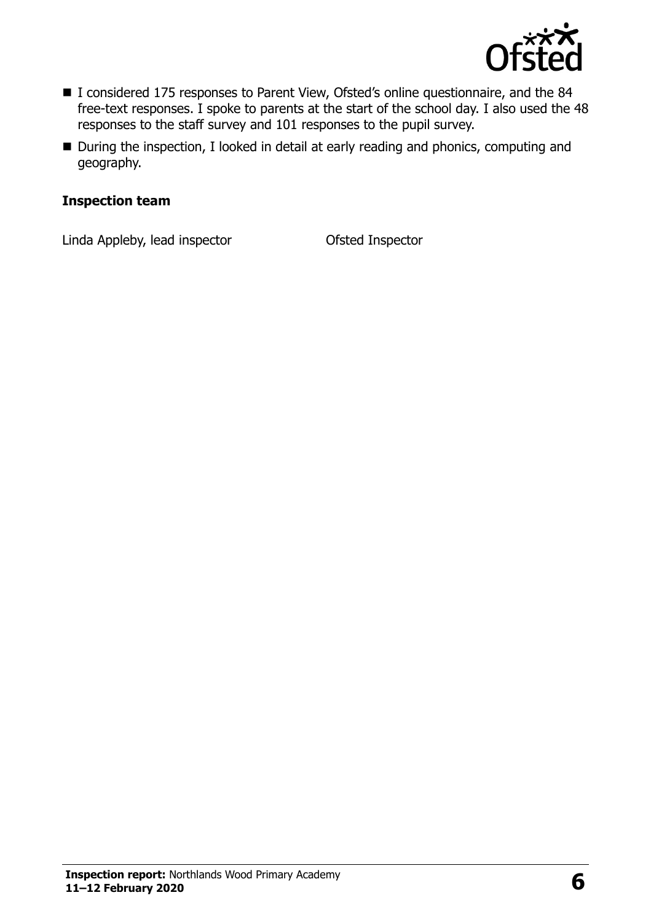

- I considered 175 responses to Parent View, Ofsted's online questionnaire, and the 84 free-text responses. I spoke to parents at the start of the school day. I also used the 48 responses to the staff survey and 101 responses to the pupil survey.
- During the inspection, I looked in detail at early reading and phonics, computing and geography.

#### **Inspection team**

Linda Appleby, lead inspector Ofsted Inspector